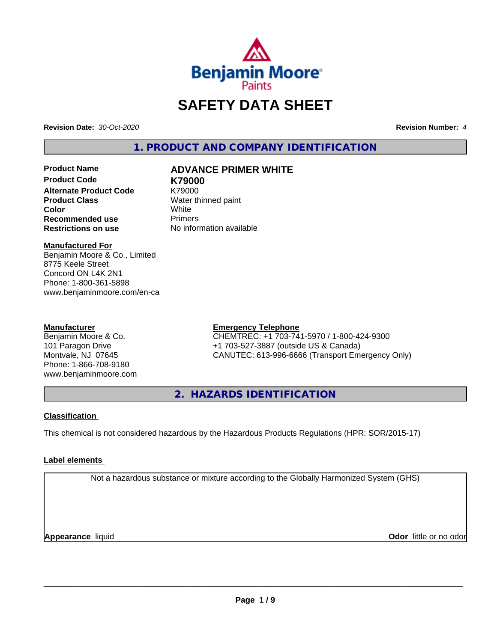

# **SAFETY DATA SHEET**

**Revision Date:** *30-Oct-2020* **Revision Number:** *4*

**1. PRODUCT AND COMPANY IDENTIFICATION**

**Product Code K79000 Alternate Product Code**<br>Product Class **Color** White White **Recommended use The Primers<br>
<b>Restrictions on use** No infor

# **Product Name ADVANCE PRIMER WHITE**

**Water thinned paint**<br>White **No information available** 

### **Manufactured For**

Benjamin Moore & Co., Limited 8775 Keele Street Concord ON L4K 2N1 Phone: 1-800-361-5898 www.benjaminmoore.com/en-ca

#### **Manufacturer**

Benjamin Moore & Co. 101 Paragon Drive Montvale, NJ 07645 Phone: 1-866-708-9180 www.benjaminmoore.com

#### **Emergency Telephone**

CHEMTREC: +1 703-741-5970 / 1-800-424-9300 +1 703-527-3887 (outside US & Canada) CANUTEC: 613-996-6666 (Transport Emergency Only)

**2. HAZARDS IDENTIFICATION**

#### **Classification**

This chemical is not considered hazardous by the Hazardous Products Regulations (HPR: SOR/2015-17)

### **Label elements**

Not a hazardous substance or mixture according to the Globally Harmonized System (GHS)

**Appearance** liquid **CODO** *Appearance liquid* **Odor** *CODO CODO* **<b>***CODO CODO CODO CODO CODO*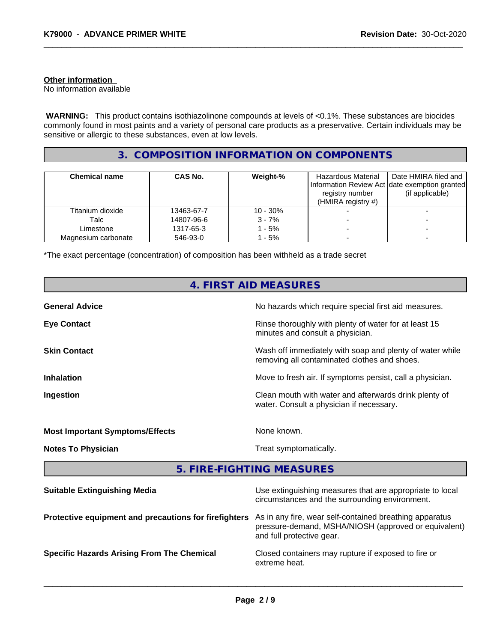#### **Other information**

No information available

**WARNING:** This product contains isothiazolinone compounds at levels of <0.1%. These substances are biocides commonly found in most paints and a variety of personal care products as a preservative. Certain individuals may be sensitive or allergic to these substances, even at low levels.

## **3. COMPOSITION INFORMATION ON COMPONENTS**

| <b>Chemical name</b> | <b>CAS No.</b> | Weight-%   | Hazardous Material<br>registry number<br>(HMIRA registry $#$ ) | Date HMIRA filed and<br>Information Review Act date exemption granted<br>(if applicable) |
|----------------------|----------------|------------|----------------------------------------------------------------|------------------------------------------------------------------------------------------|
| Titanium dioxide     | 13463-67-7     | $10 - 30%$ |                                                                |                                                                                          |
| Talc                 | 14807-96-6     | $3 - 7%$   |                                                                |                                                                                          |
| Limestone            | 1317-65-3      | $-5%$      |                                                                |                                                                                          |
| Magnesium carbonate  | 546-93-0       | $-5%$      |                                                                |                                                                                          |

\*The exact percentage (concentration) of composition has been withheld as a trade secret

|                                                       | 4. FIRST AID MEASURES                                                                                           |
|-------------------------------------------------------|-----------------------------------------------------------------------------------------------------------------|
| <b>General Advice</b>                                 | No hazards which require special first aid measures.                                                            |
| <b>Eye Contact</b>                                    | Rinse thoroughly with plenty of water for at least 15<br>minutes and consult a physician.                       |
| <b>Skin Contact</b>                                   | Wash off immediately with soap and plenty of water while<br>removing all contaminated clothes and shoes.        |
| <b>Inhalation</b>                                     | Move to fresh air. If symptoms persist, call a physician.                                                       |
| Ingestion                                             | Clean mouth with water and afterwards drink plenty of<br>water. Consult a physician if necessary.               |
| <b>Most Important Symptoms/Effects</b>                | None known.                                                                                                     |
| <b>Notes To Physician</b>                             | Treat symptomatically.                                                                                          |
|                                                       | 5. FIRE-FIGHTING MEASURES                                                                                       |
| <b>Suitable Extinguishing Media</b>                   | Use extinguishing measures that are appropriate to local<br>circumstances and the surrounding environment.      |
| Protective equipment and precautions for firefighters | As in any fire, wear self-contained breathing apparatus<br>pressure-demand, MSHA/NIOSH (approved or equivalent) |

and full protective gear.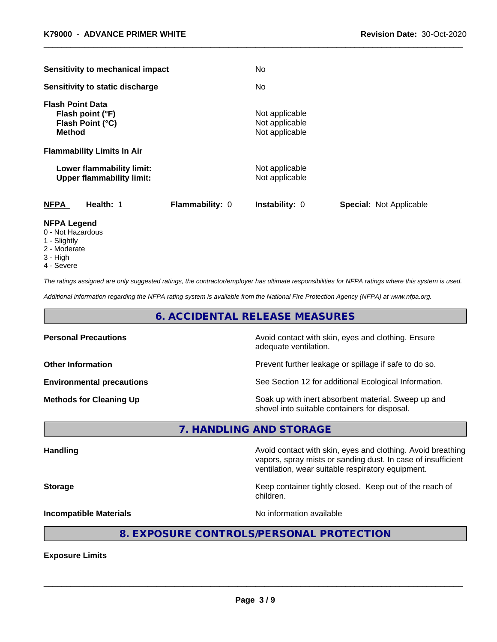| Sensitivity to mechanical impact                                                 |                        | No                                                 |                                |  |
|----------------------------------------------------------------------------------|------------------------|----------------------------------------------------|--------------------------------|--|
| Sensitivity to static discharge                                                  |                        | No.                                                |                                |  |
| <b>Flash Point Data</b><br>Flash point (°F)<br>Flash Point (°C)<br><b>Method</b> |                        | Not applicable<br>Not applicable<br>Not applicable |                                |  |
| <b>Flammability Limits In Air</b>                                                |                        |                                                    |                                |  |
| Lower flammability limit:<br><b>Upper flammability limit:</b>                    |                        | Not applicable<br>Not applicable                   |                                |  |
| <b>NFPA</b><br>Health: 1                                                         | <b>Flammability: 0</b> | <b>Instability: 0</b>                              | <b>Special: Not Applicable</b> |  |

#### **NFPA Legend**

- 0 Not Hazardous
- 1 Slightly
- 2 Moderate
- 3 High
- 4 Severe

*The ratings assigned are only suggested ratings, the contractor/employer has ultimate responsibilities for NFPA ratings where this system is used.*

*Additional information regarding the NFPA rating system is available from the National Fire Protection Agency (NFPA) at www.nfpa.org.*

# **6. ACCIDENTAL RELEASE MEASURES**

| <b>Personal Precautions</b>      | Avoid contact with skin, eyes and clothing. Ensure<br>adequate ventilation. |
|----------------------------------|-----------------------------------------------------------------------------|
| <b>Other Information</b>         | Prevent further leakage or spillage if safe to do so.                       |
| <b>Environmental precautions</b> | See Section 12 for additional Ecological Information.                       |
| <b>Methods for Cleaning Up</b>   | Soak up with inert absorbent material. Sweep up and                         |

**7. HANDLING AND STORAGE**

shovel into suitable containers for disposal.

**Handling Handling Avoid contact with skin, eyes and clothing. Avoid breathing Handling A** vapors, spray mists or sanding dust. In case of insufficient ventilation, wear suitable respiratory equipment. **Storage Keep container tightly closed.** Keep out of the reach of children. **Incompatible Materials** Noinformation available

# **8. EXPOSURE CONTROLS/PERSONAL PROTECTION**

**Exposure Limits**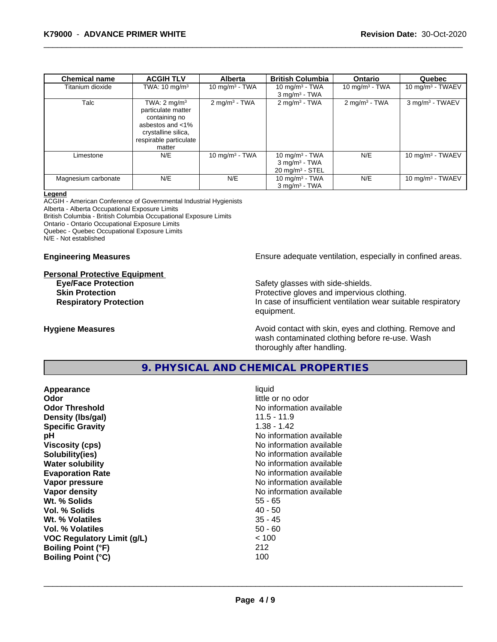| <b>Chemical name</b> | <b>ACGIH TLV</b>                                                                                                                              | <b>Alberta</b>             | <b>British Columbia</b>                                                        | <b>Ontario</b>             | Quebec                       |
|----------------------|-----------------------------------------------------------------------------------------------------------------------------------------------|----------------------------|--------------------------------------------------------------------------------|----------------------------|------------------------------|
| Titanium dioxide     | TWA: $10 \text{ mg/m}^3$                                                                                                                      | 10 mg/m <sup>3</sup> - TWA | 10 mg/m <sup>3</sup> - TWA                                                     | 10 mg/m <sup>3</sup> - TWA | 10 mg/m $3$ - TWAEV          |
|                      |                                                                                                                                               |                            | $3$ mg/m <sup>3</sup> - TWA                                                    |                            |                              |
| Talc                 | TWA: $2 \text{ mg/m}^3$<br>particulate matter<br>containing no<br>asbestos and <1%<br>crystalline silica,<br>respirable particulate<br>matter | $2 \text{ mg/m}^3$ - TWA   | $2 \text{ mg/m}^3$ - TWA                                                       | $2 \text{mq/m}^3$ - TWA    | 3 mg/m <sup>3</sup> - TWAEV  |
| Limestone            | N/E                                                                                                                                           | 10 mg/m $3 - TWA$          | 10 mg/m $3$ - TWA<br>$3$ mg/m <sup>3</sup> - TWA<br>$20 \text{ mg/m}^3$ - STEL | N/E                        | 10 mg/m $3$ - TWAEV          |
| Magnesium carbonate  | N/E                                                                                                                                           | N/E                        | 10 $mq/m3$ - TWA<br>$3$ mg/m <sup>3</sup> - TWA                                | N/E                        | 10 mg/m <sup>3</sup> - TWAEV |

#### **Legend**

ACGIH - American Conference of Governmental Industrial Hygienists Alberta - Alberta Occupational Exposure Limits British Columbia - British Columbia Occupational Exposure Limits Ontario - Ontario Occupational Exposure Limits

Quebec - Quebec Occupational Exposure Limits

N/E - Not established

# **Personal Protective Equipment**

**Engineering Measures Ensure** Ensure adequate ventilation, especially in confined areas.

Safety glasses with side-shields. **Skin Protection Protection Protective gloves and impervious clothing. Respiratory Protection In case of insufficient ventilation wear suitable respiratory** equipment.

**Hygiene Measures Avoid contact with skin, eyes and clothing. Remove and Avoid contact with skin, eyes and clothing. Remove and Avoid contact with skin, eyes and clothing. Remove and** wash contaminated clothing before re-use. Wash thoroughly after handling.

# **9. PHYSICAL AND CHEMICAL PROPERTIES**

**Appearance** liquid **Odor** little or no odor **Odor Threshold** No information available **Density (lbs/gal)** 11.5 - 11.9 **Specific Gravity** 1.38 - 1.42 **pH pH**  $\blacksquare$ **Viscosity (cps)** No information available **Solubility(ies)** No information available **Water solubility Water solubility Water solubility Water solubility Water solubility Water solution Evaporation Rate No information available No information available Vapor pressure** No information available **No information** available **Vapor density No information available No information available Wt. % Solids** 55 - 65 **Vol. % Solids** 40 - 50 **Wt. % Volatiles** 35 - 45 **Vol. % Volatiles** 50 - 60 **VOC Regulatory Limit (g/L)** < 100 **Boiling Point (°F)** 212 **Boiling Point (°C)**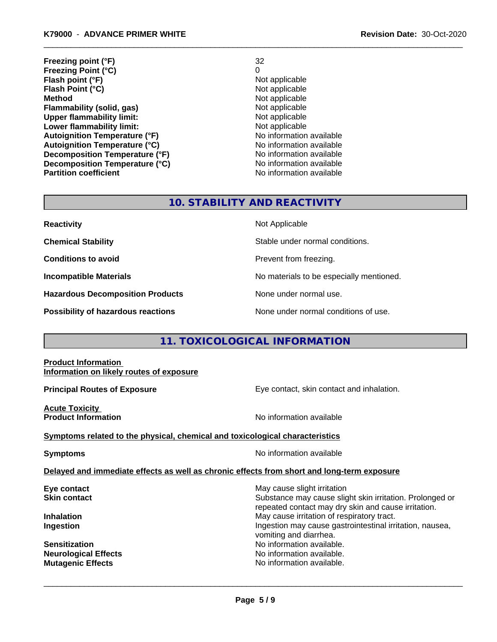**Freezing point (°F)** 32 **Freezing Point (°C)**<br> **Flash point (°F)**<br> **Flash point (°F)**<br> **Point (°F)**<br> **Point (°F)**<br> **Point District (°F)**<br> **Point District (°F)**<br> **Point District (°F) Flash point (°F)**<br> **Flash Point (°C)**<br> **Flash Point (°C)**<br> **C Flash Point (°C) Method** Not applicable<br> **Flammability (solid, gas)** Not applicable Not applicable **Flammability (solid, gas)** Not applicable Not applicable<br>
Upper flammability limit: Not applicable **Upper flammability limit: Lower flammability limit:**<br> **Autoignition Temperature (°F)** Not applicable available **Autoignition Temperature (°F)**<br> **Autoignition Temperature (°C)** No information available **Autoignition Temperature (°C) Decomposition Temperature (°F)** No information available **Decomposition Temperature (°C)** No information available<br> **Partition coefficient Partition available** 

**No information available** 

# **10. STABILITY AND REACTIVITY**

| <b>Reactivity</b>                       | Not Applicable                           |
|-----------------------------------------|------------------------------------------|
| <b>Chemical Stability</b>               | Stable under normal conditions.          |
| <b>Conditions to avoid</b>              | Prevent from freezing.                   |
| <b>Incompatible Materials</b>           | No materials to be especially mentioned. |
| <b>Hazardous Decomposition Products</b> | None under normal use.                   |
| Possibility of hazardous reactions      | None under normal conditions of use.     |

# **11. TOXICOLOGICAL INFORMATION**

#### **Product Information Information on likely routes of exposure**

**Principal Routes of Exposure Exposure** Eye contact, skin contact and inhalation.

**Acute Toxicity** 

**Product Information Information No information available** 

#### **Symptoms related to the physical,chemical and toxicological characteristics**

**Symptoms** No information available

#### **Delayed and immediate effects as well as chronic effects from short and long-term exposure**

**Neurological Effects** Noinformation available. **Mutagenic Effects No information available.** 

**Eye contact** May cause slight irritation **New York Contact Skin contact** Substance may cause slight skin irritation. Prolonged or

repeated contact may dry skin and cause irritation. **Inhalation Inhalation Inhalation May cause irritation of respiratory tract. Ingestion Ingestion Ingestion may cause gastrointestinal irritation, nausea,** vomiting and diarrhea. **Sensitization No information available.** No information available.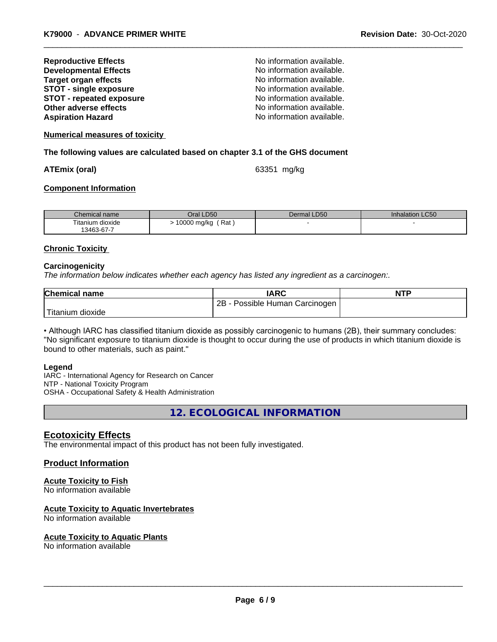| <b>Reproductive Effects</b>     | No information available. |
|---------------------------------|---------------------------|
| <b>Developmental Effects</b>    | No information available. |
| <b>Target organ effects</b>     | No information available. |
| <b>STOT - single exposure</b>   | No information available. |
| <b>STOT - repeated exposure</b> | No information available. |
| Other adverse effects           | No information available. |
| <b>Aspiration Hazard</b>        | No information available. |

#### **Numerical measures of toxicity**

**The following values are calculated based on chapter 3.1 of the GHS document**

#### **ATEmix (oral)** 63351 mg/kg

#### **Component Information**

| Chemical name                  | Oral LD50               | Dermal LD50 | Inhalation LC50 |
|--------------------------------|-------------------------|-------------|-----------------|
| Titanium dioxide<br>13463-67-7 | Rat<br>0000.<br>) mg/kg |             |                 |

#### **Chronic Toxicity**

#### **Carcinogenicity**

*The information below indicateswhether each agency has listed any ingredient as a carcinogen:.*

| <b>Chemical name</b>    | <b>IARC</b>                     | <b>NTP</b> |
|-------------------------|---------------------------------|------------|
|                         | 2B<br>Possible Human Carcinogen |            |
| Titanium J<br>, dioxide |                                 |            |

• Although IARC has classified titanium dioxide as possibly carcinogenic to humans (2B), their summary concludes: "No significant exposure to titanium dioxide is thought to occur during the use of products in which titanium dioxide is bound to other materials, such as paint."

#### **Legend**

IARC - International Agency for Research on Cancer NTP - National Toxicity Program OSHA - Occupational Safety & Health Administration

**12. ECOLOGICAL INFORMATION**

### **Ecotoxicity Effects**

The environmental impact of this product has not been fully investigated.

#### **Product Information**

# **Acute Toxicity to Fish**

No information available

### **Acute Toxicity to Aquatic Invertebrates**

No information available

#### **Acute Toxicity to Aquatic Plants**

No information available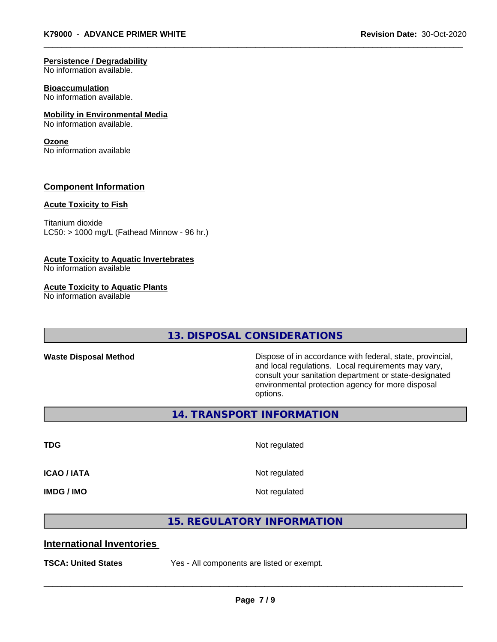### **Persistence / Degradability**

No information available.

#### **Bioaccumulation**

No information available.

#### **Mobility in Environmental Media**

No information available.

#### **Ozone**

No information available

# **Component Information**

#### **Acute Toxicity to Fish**

Titanium dioxide  $LC50:$  > 1000 mg/L (Fathead Minnow - 96 hr.)

#### **Acute Toxicity to Aquatic Invertebrates**

No information available

#### **Acute Toxicity to Aquatic Plants**

No information available

# **13. DISPOSAL CONSIDERATIONS**

Waste Disposal Method **Dispose of in accordance with federal, state, provincial,** and local regulations. Local requirements may vary, consult your sanitation department or state-designated environmental protection agency for more disposal options.

**14. TRANSPORT INFORMATION**

**TDG** Not regulated

**ICAO / IATA** Not regulated

**IMDG / IMO** Not regulated

 $\overline{\phantom{a}}$  ,  $\overline{\phantom{a}}$  ,  $\overline{\phantom{a}}$  ,  $\overline{\phantom{a}}$  ,  $\overline{\phantom{a}}$  ,  $\overline{\phantom{a}}$  ,  $\overline{\phantom{a}}$  ,  $\overline{\phantom{a}}$  ,  $\overline{\phantom{a}}$  ,  $\overline{\phantom{a}}$  ,  $\overline{\phantom{a}}$  ,  $\overline{\phantom{a}}$  ,  $\overline{\phantom{a}}$  ,  $\overline{\phantom{a}}$  ,  $\overline{\phantom{a}}$  ,  $\overline{\phantom{a}}$ 

# **15. REGULATORY INFORMATION**

# **International Inventories**

**TSCA: United States** Yes - All components are listed or exempt.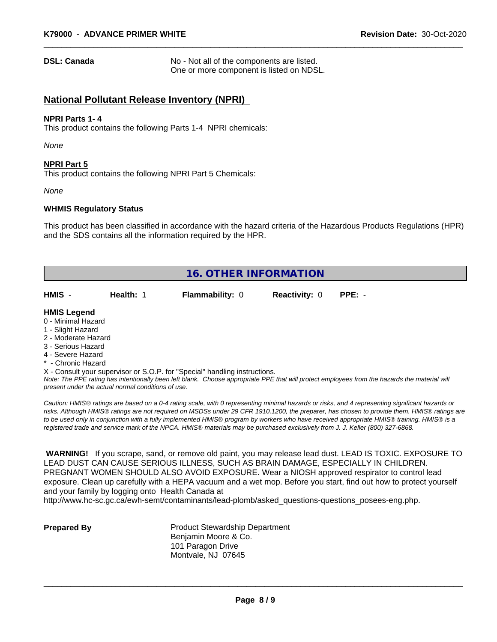**DSL: Canada** No - Not all of the components are listed. One or more component is listed on NDSL.

## **National Pollutant Release Inventory (NPRI)**

#### **NPRI Parts 1- 4**

This product contains the following Parts 1-4 NPRI chemicals:

*None*

#### **NPRI Part 5**

This product contains the following NPRI Part 5 Chemicals:

*None*

#### **WHMIS Regulatory Status**

This product has been classified in accordance with the hazard criteria of the Hazardous Products Regulations (HPR) and the SDS contains all the information required by the HPR.

| <b>16. OTHER INFORMATION</b>                                                                                                                                                                                |           |                                                                            |                      |                                                                                                                                               |  |
|-------------------------------------------------------------------------------------------------------------------------------------------------------------------------------------------------------------|-----------|----------------------------------------------------------------------------|----------------------|-----------------------------------------------------------------------------------------------------------------------------------------------|--|
| HMIS -                                                                                                                                                                                                      | Health: 1 | <b>Flammability: 0</b>                                                     | <b>Reactivity: 0</b> | $PPE: -$                                                                                                                                      |  |
| <b>HMIS Legend</b><br>0 - Minimal Hazard<br>1 - Slight Hazard<br>2 - Moderate Hazard<br>3 - Serious Hazard<br>4 - Severe Hazard<br>* - Chronic Hazard<br>present under the actual normal conditions of use. |           | X - Consult your supervisor or S.O.P. for "Special" handling instructions. |                      | Note: The PPE rating has intentionally been left blank. Choose appropriate PPE that will protect employees from the hazards the material will |  |

*Caution: HMISÒ ratings are based on a 0-4 rating scale, with 0 representing minimal hazards or risks, and 4 representing significant hazards or risks. Although HMISÒ ratings are not required on MSDSs under 29 CFR 1910.1200, the preparer, has chosen to provide them. HMISÒ ratings are to be used only in conjunction with a fully implemented HMISÒ program by workers who have received appropriate HMISÒ training. HMISÒ is a registered trade and service mark of the NPCA. HMISÒ materials may be purchased exclusively from J. J. Keller (800) 327-6868.*

 **WARNING!** If you scrape, sand, or remove old paint, you may release lead dust. LEAD IS TOXIC. EXPOSURE TO LEAD DUST CAN CAUSE SERIOUS ILLNESS, SUCH AS BRAIN DAMAGE, ESPECIALLY IN CHILDREN. PREGNANT WOMEN SHOULD ALSO AVOID EXPOSURE.Wear a NIOSH approved respirator to control lead exposure. Clean up carefully with a HEPA vacuum and a wet mop. Before you start, find out how to protect yourself and your family by logging onto Health Canada at

http://www.hc-sc.gc.ca/ewh-semt/contaminants/lead-plomb/asked\_questions-questions\_posees-eng.php.

**Prepared By** Product Stewardship Department Benjamin Moore & Co. 101 Paragon Drive Montvale, NJ 07645